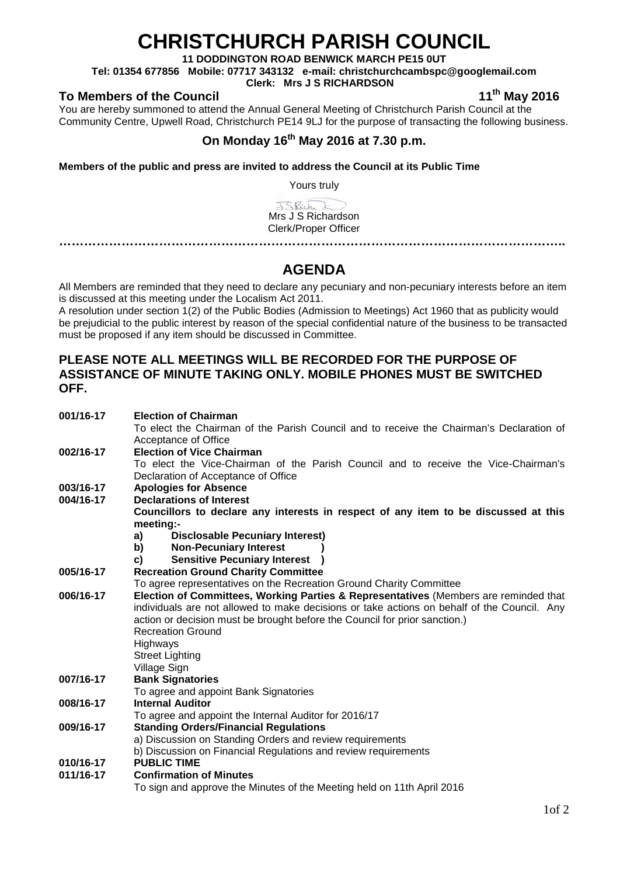# **CHRISTCHURCH PARISH COUNCIL**

**11 DODDINGTON ROAD BENWICK MARCH PE15 0UT**

**Tel: 01354 677856 Mobile: 07717 343132 e-mail: christchurchcambspc@googlemail.com**

**Clerk: Mrs J S RICHARDSON**

### To Members of the Council **11th** May 2016

You are hereby summoned to attend the Annual General Meeting of Christchurch Parish Council at the Community Centre, Upwell Road, Christchurch PE14 9LJ for the purpose of transacting the following business.

## **On Monday 16th May 2016 at 7.30 p.m.**

**Members of the public and press are invited to address the Council at its Public Time** 

Yours truly

JSRich E Mrs J S Richardson Clerk/Proper Officer

**…………………………………………………………………………………………………………..**

## **AGENDA**

All Members are reminded that they need to declare any pecuniary and non-pecuniary interests before an item is discussed at this meeting under the Localism Act 2011.

A resolution under section 1(2) of the Public Bodies (Admission to Meetings) Act 1960 that as publicity would be prejudicial to the public interest by reason of the special confidential nature of the business to be transacted must be proposed if any item should be discussed in Committee.

#### **PLEASE NOTE ALL MEETINGS WILL BE RECORDED FOR THE PURPOSE OF ASSISTANCE OF MINUTE TAKING ONLY. MOBILE PHONES MUST BE SWITCHED OFF.**

| 001/16-17 | <b>Election of Chairman</b>                                                                 |  |  |
|-----------|---------------------------------------------------------------------------------------------|--|--|
|           | To elect the Chairman of the Parish Council and to receive the Chairman's Declaration of    |  |  |
|           | Acceptance of Office                                                                        |  |  |
| 002/16-17 | <b>Election of Vice Chairman</b>                                                            |  |  |
|           | To elect the Vice-Chairman of the Parish Council and to receive the Vice-Chairman's         |  |  |
|           | Declaration of Acceptance of Office                                                         |  |  |
| 003/16-17 | <b>Apologies for Absence</b>                                                                |  |  |
| 004/16-17 | <b>Declarations of Interest</b>                                                             |  |  |
|           | Councillors to declare any interests in respect of any item to be discussed at this         |  |  |
|           | meeting:-                                                                                   |  |  |
|           | <b>Disclosable Pecuniary Interest)</b><br>a)                                                |  |  |
|           | <b>Non-Pecuniary Interest</b><br>b)                                                         |  |  |
|           | <b>Sensitive Pecuniary Interest</b><br>C)                                                   |  |  |
| 005/16-17 | <b>Recreation Ground Charity Committee</b>                                                  |  |  |
|           | To agree representatives on the Recreation Ground Charity Committee                         |  |  |
| 006/16-17 | Election of Committees, Working Parties & Representatives (Members are reminded that        |  |  |
|           | individuals are not allowed to make decisions or take actions on behalf of the Council. Any |  |  |
|           | action or decision must be brought before the Council for prior sanction.)                  |  |  |
|           | <b>Recreation Ground</b>                                                                    |  |  |
|           | Highways                                                                                    |  |  |
|           | <b>Street Lighting</b>                                                                      |  |  |
|           | Village Sign                                                                                |  |  |
| 007/16-17 | <b>Bank Signatories</b>                                                                     |  |  |
|           | To agree and appoint Bank Signatories                                                       |  |  |
| 008/16-17 | <b>Internal Auditor</b>                                                                     |  |  |
|           | To agree and appoint the Internal Auditor for 2016/17                                       |  |  |
| 009/16-17 | <b>Standing Orders/Financial Regulations</b>                                                |  |  |
|           | a) Discussion on Standing Orders and review requirements                                    |  |  |
|           | b) Discussion on Financial Regulations and review requirements                              |  |  |
| 010/16-17 | <b>PUBLIC TIME</b>                                                                          |  |  |
| 011/16-17 | <b>Confirmation of Minutes</b>                                                              |  |  |
|           | To sign and approve the Minutes of the Meeting held on 11th April 2016                      |  |  |